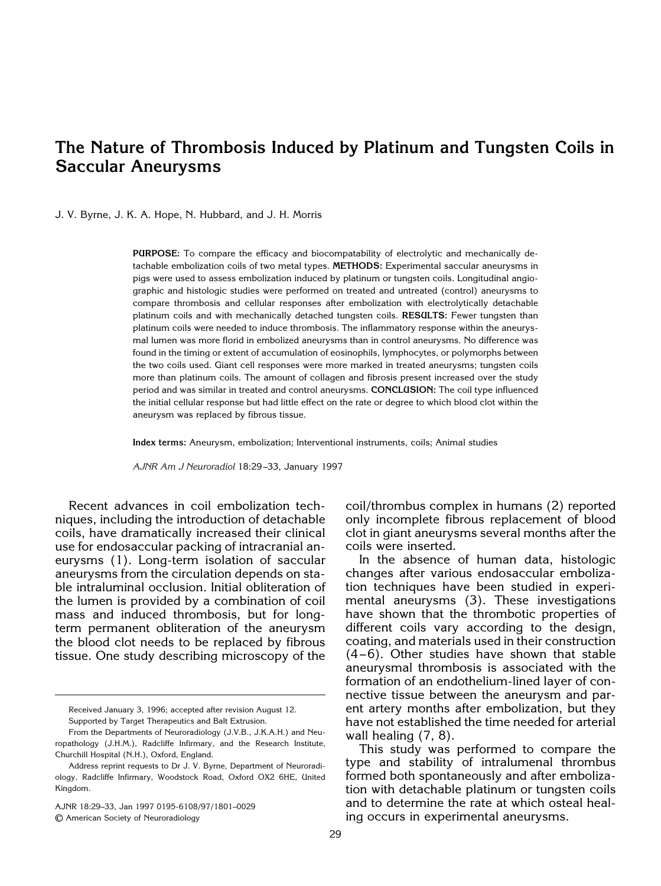# **The Nature of Thrombosis Induced by Platinum and Tungsten Coils in Saccular Aneurysms**

J. V. Byrne, J. K. A. Hope, N. Hubbard, and J. H. Morris

**PURPOSE:** To compare the efficacy and biocompatability of electrolytic and mechanically detachable embolization coils of two metal types. **METHODS:** Experimental saccular aneurysms in pigs were used to assess embolization induced by platinum or tungsten coils. Longitudinal angiographic and histologic studies were performed on treated and untreated (control) aneurysms to compare thrombosis and cellular responses after embolization with electrolytically detachable platinum coils and with mechanically detached tungsten coils. **RESULTS:** Fewer tungsten than platinum coils were needed to induce thrombosis. The inflammatory response within the aneurysmal lumen was more florid in embolized aneurysms than in control aneurysms. No difference was found in the timing or extent of accumulation of eosinophils, lymphocytes, or polymorphs between the two coils used. Giant cell responses were more marked in treated aneurysms; tungsten coils more than platinum coils. The amount of collagen and fibrosis present increased over the study period and was similar in treated and control aneurysms. **CONCLUSION:** The coil type influenced the initial cellular response but had little effect on the rate or degree to which blood clot within the aneurysm was replaced by fibrous tissue.

**Index terms:** Aneurysm, embolization; Interventional instruments, coils; Animal studies

*AJNR Am J Neuroradiol* 18:29 –33, January 1997

Recent advances in coil embolization techniques, including the introduction of detachable coils, have dramatically increased their clinical use for endosaccular packing of intracranial aneurysms (1). Long-term isolation of saccular aneurysms from the circulation depends on stable intraluminal occlusion. Initial obliteration of the lumen is provided by a combination of coil mass and induced thrombosis, but for longterm permanent obliteration of the aneurysm the blood clot needs to be replaced by fibrous tissue. One study describing microscopy of the

AJNR 18:29–33, Jan 1997 0195-6108/97/1801–0029

© American Society of Neuroradiology

coil/thrombus complex in humans (2) reported only incomplete fibrous replacement of blood clot in giant aneurysms several months after the coils were inserted.

In the absence of human data, histologic changes after various endosaccular embolization techniques have been studied in experimental aneurysms (3). These investigations have shown that the thrombotic properties of different coils vary according to the design, coating, and materials used in their construction  $(4-6)$ . Other studies have shown that stable aneurysmal thrombosis is associated with the formation of an endothelium-lined layer of connective tissue between the aneurysm and parent artery months after embolization, but they have not established the time needed for arterial wall healing (7, 8).

This study was performed to compare the type and stability of intralumenal thrombus formed both spontaneously and after embolization with detachable platinum or tungsten coils and to determine the rate at which osteal healing occurs in experimental aneurysms.

Received January 3, 1996; accepted after revision August 12. Supported by Target Therapeutics and Balt Extrusion.

From the Departments of Neuroradiology (J.V.B., J.K.A.H.) and Neuropathology (J.H.M.), Radcliffe Infirmary, and the Research Institute, Churchill Hospital (N.H.), Oxford, England.

Address reprint requests to Dr J. V. Byrne, Department of Neuroradiology, Radcliffe Infirmary, Woodstock Road, Oxford OX2 6HE, United Kingdom.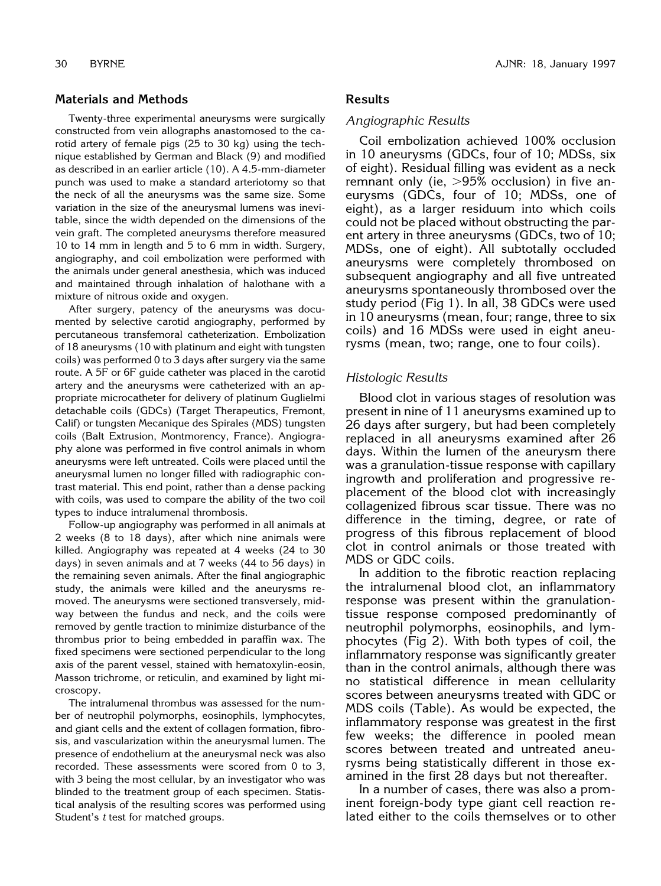# **Materials and Methods**

Twenty-three experimental aneurysms were surgically constructed from vein allographs anastomosed to the carotid artery of female pigs (25 to 30 kg) using the technique established by German and Black (9) and modified as described in an earlier article (10). A 4.5-mm-diameter punch was used to make a standard arteriotomy so that the neck of all the aneurysms was the same size. Some variation in the size of the aneurysmal lumens was inevitable, since the width depended on the dimensions of the vein graft. The completed aneurysms therefore measured 10 to 14 mm in length and 5 to 6 mm in width. Surgery, angiography, and coil embolization were performed with the animals under general anesthesia, which was induced and maintained through inhalation of halothane with a mixture of nitrous oxide and oxygen.

After surgery, patency of the aneurysms was documented by selective carotid angiography, performed by percutaneous transfemoral catheterization. Embolization of 18 aneurysms (10 with platinum and eight with tungsten coils) was performed 0 to 3 days after surgery via the same route. A 5F or 6F guide catheter was placed in the carotid artery and the aneurysms were catheterized with an appropriate microcatheter for delivery of platinum Guglielmi detachable coils (GDCs) (Target Therapeutics, Fremont, Calif) or tungsten Mecanique des Spirales (MDS) tungsten coils (Balt Extrusion, Montmorency, France). Angiography alone was performed in five control animals in whom aneurysms were left untreated. Coils were placed until the aneurysmal lumen no longer filled with radiographic contrast material. This end point, rather than a dense packing with coils, was used to compare the ability of the two coil types to induce intralumenal thrombosis.

Follow-up angiography was performed in all animals at 2 weeks (8 to 18 days), after which nine animals were killed. Angiography was repeated at 4 weeks (24 to 30 days) in seven animals and at 7 weeks (44 to 56 days) in the remaining seven animals. After the final angiographic study, the animals were killed and the aneurysms removed. The aneurysms were sectioned transversely, midway between the fundus and neck, and the coils were removed by gentle traction to minimize disturbance of the thrombus prior to being embedded in paraffin wax. The fixed specimens were sectioned perpendicular to the long axis of the parent vessel, stained with hematoxylin-eosin, Masson trichrome, or reticulin, and examined by light microscopy.

The intralumenal thrombus was assessed for the number of neutrophil polymorphs, eosinophils, lymphocytes, and giant cells and the extent of collagen formation, fibrosis, and vascularization within the aneurysmal lumen. The presence of endothelium at the aneurysmal neck was also recorded. These assessments were scored from 0 to 3, with 3 being the most cellular, by an investigator who was blinded to the treatment group of each specimen. Statistical analysis of the resulting scores was performed using Student's *t* test for matched groups.

# **Results**

#### *Angiographic Results*

Coil embolization achieved 100% occlusion in 10 aneurysms (GDCs, four of 10; MDSs, six of eight). Residual filling was evident as a neck remnant only (ie,  $>95%$  occlusion) in five aneurysms (GDCs, four of 10; MDSs, one of eight), as a larger residuum into which coils could not be placed without obstructing the parent artery in three aneurysms (GDCs, two of 10; MDSs, one of eight). All subtotally occluded aneurysms were completely thrombosed on subsequent angiography and all five untreated aneurysms spontaneously thrombosed over the study period (Fig 1). In all, 38 GDCs were used in 10 aneurysms (mean, four; range, three to six coils) and 16 MDSs were used in eight aneurysms (mean, two; range, one to four coils).

## *Histologic Results*

Blood clot in various stages of resolution was present in nine of 11 aneurysms examined up to 26 days after surgery, but had been completely replaced in all aneurysms examined after 26 days. Within the lumen of the aneurysm there was a granulation-tissue response with capillary ingrowth and proliferation and progressive replacement of the blood clot with increasingly collagenized fibrous scar tissue. There was no difference in the timing, degree, or rate of progress of this fibrous replacement of blood clot in control animals or those treated with MDS or GDC coils.

In addition to the fibrotic reaction replacing the intralumenal blood clot, an inflammatory response was present within the granulationtissue response composed predominantly of neutrophil polymorphs, eosinophils, and lymphocytes (Fig 2). With both types of coil, the inflammatory response was significantly greater than in the control animals, although there was no statistical difference in mean cellularity scores between aneurysms treated with GDC or MDS coils (Table). As would be expected, the inflammatory response was greatest in the first few weeks; the difference in pooled mean scores between treated and untreated aneurysms being statistically different in those examined in the first 28 days but not thereafter.

In a number of cases, there was also a prominent foreign-body type giant cell reaction related either to the coils themselves or to other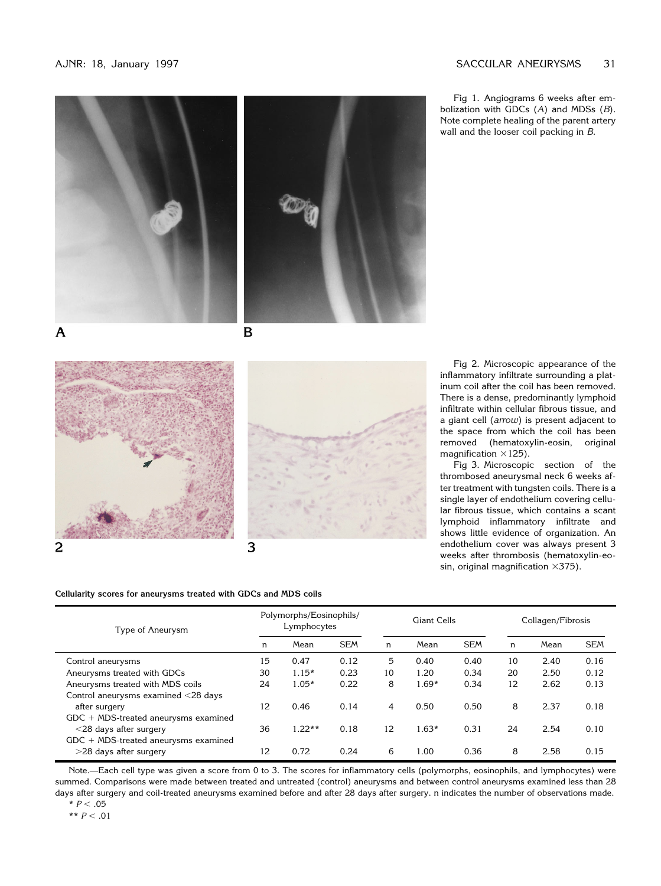### AJNR: 18, January 1997 **SACCULAR ANEURYSMS** 31





A

B





**Cellularity scores for aneurysms treated with GDCs and MDS coils**

Fig 1. Angiograms 6 weeks after embolization with GDCs (*A*) and MDSs (*B*). Note complete healing of the parent artery wall and the looser coil packing in *B*.

Fig 2. Microscopic appearance of the inflammatory infiltrate surrounding a platinum coil after the coil has been removed. There is a dense, predominantly lymphoid infiltrate within cellular fibrous tissue, and a giant cell (*arrow*) is present adjacent to the space from which the coil has been removed (hematoxylin-eosin, original magnification  $\times$ 125).

Fig 3. Microscopic section of the thrombosed aneurysmal neck 6 weeks after treatment with tungsten coils. There is a single layer of endothelium covering cellular fibrous tissue, which contains a scant lymphoid inflammatory infiltrate and shows little evidence of organization. An endothelium cover was always present 3 weeks after thrombosis (hematoxylin-eosin, original magnification  $\times 375$ ).

| Type of Aneurysm                       | Polymorphs/Eosinophils/<br>Lymphocytes |          |            | Giant Cells |         |            | Collagen/Fibrosis |      |            |
|----------------------------------------|----------------------------------------|----------|------------|-------------|---------|------------|-------------------|------|------------|
|                                        | n                                      | Mean     | <b>SEM</b> | n           | Mean    | <b>SEM</b> | n                 | Mean | <b>SEM</b> |
| Control aneurysms                      | 15                                     | 0.47     | 0.12       | 5           | 0.40    | 0.40       | 10                | 2.40 | 0.16       |
| Aneurysms treated with GDCs            | 30                                     | $1.15*$  | 0.23       | 10          | 1.20    | 0.34       | 20                | 2.50 | 0.12       |
| Aneurysms treated with MDS coils       | 24                                     | $1.05*$  | 0.22       | 8           | $1.69*$ | 0.34       | 12                | 2.62 | 0.13       |
| Control aneurysms examined <28 days    |                                        |          |            |             |         |            |                   |      |            |
| after surgery                          | 12                                     | 0.46     | 0.14       | 4           | 0.50    | 0.50       | 8                 | 2.37 | 0.18       |
| $GDC + MDS-treated$ aneurysms examined |                                        |          |            |             |         |            |                   |      |            |
| $<$ 28 days after surgery              | 36                                     | $1.22**$ | 0.18       | 12          | $1.63*$ | 0.31       | 24                | 2.54 | 0.10       |
| $GDC + MDS-treated$ aneurysms examined |                                        |          |            |             |         |            |                   |      |            |
| $>$ 28 days after surgery              | 12                                     | 0.72     | 0.24       | 6           | 1.00    | 0.36       | 8                 | 2.58 | 0.15       |

Note.—Each cell type was given a score from 0 to 3. The scores for inflammatory cells (polymorphs, eosinophils, and lymphocytes) were summed. Comparisons were made between treated and untreated (control) aneurysms and between control aneurysms examined less than 28 days after surgery and coil-treated aneurysms examined before and after 28 days after surgery. n indicates the number of observations made.  $* P < 0.05$ 

$$
\begin{array}{c}\n \star & D & \sim \\
\star & D & \sim \\
\end{array}
$$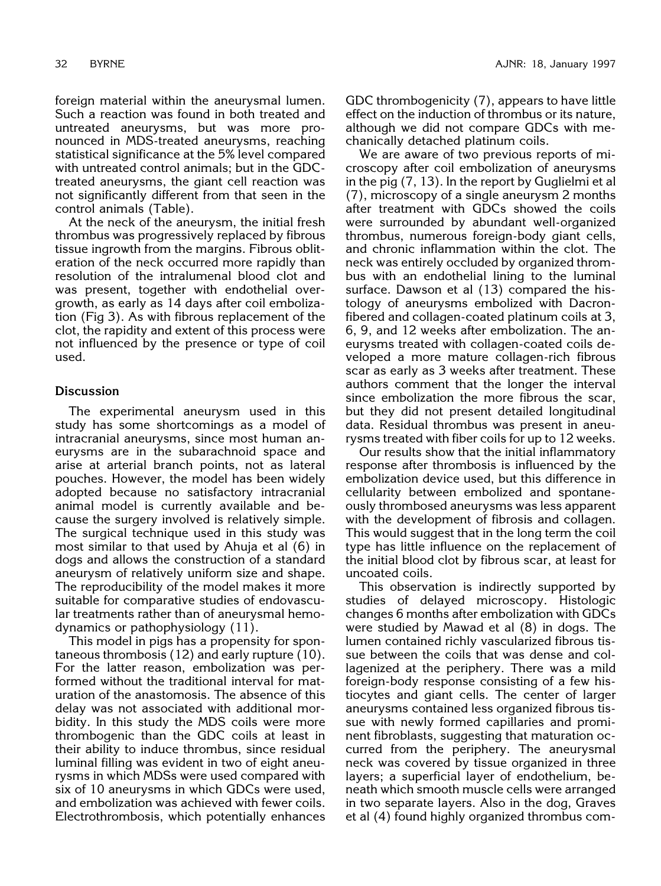foreign material within the aneurysmal lumen. Such a reaction was found in both treated and untreated aneurysms, but was more pronounced in MDS-treated aneurysms, reaching statistical significance at the 5% level compared with untreated control animals; but in the GDCtreated aneurysms, the giant cell reaction was not significantly different from that seen in the control animals (Table).

At the neck of the aneurysm, the initial fresh thrombus was progressively replaced by fibrous tissue ingrowth from the margins. Fibrous obliteration of the neck occurred more rapidly than resolution of the intralumenal blood clot and was present, together with endothelial overgrowth, as early as 14 days after coil embolization (Fig 3). As with fibrous replacement of the clot, the rapidity and extent of this process were not influenced by the presence or type of coil used.

# **Discussion**

The experimental aneurysm used in this study has some shortcomings as a model of intracranial aneurysms, since most human aneurysms are in the subarachnoid space and arise at arterial branch points, not as lateral pouches. However, the model has been widely adopted because no satisfactory intracranial animal model is currently available and because the surgery involved is relatively simple. The surgical technique used in this study was most similar to that used by Ahuja et al (6) in dogs and allows the construction of a standard aneurysm of relatively uniform size and shape. The reproducibility of the model makes it more suitable for comparative studies of endovascular treatments rather than of aneurysmal hemodynamics or pathophysiology (11).

This model in pigs has a propensity for spontaneous thrombosis (12) and early rupture (10). For the latter reason, embolization was performed without the traditional interval for maturation of the anastomosis. The absence of this delay was not associated with additional morbidity. In this study the MDS coils were more thrombogenic than the GDC coils at least in their ability to induce thrombus, since residual luminal filling was evident in two of eight aneurysms in which MDSs were used compared with six of 10 aneurysms in which GDCs were used, and embolization was achieved with fewer coils. Electrothrombosis, which potentially enhances

GDC thrombogenicity (7), appears to have little effect on the induction of thrombus or its nature, although we did not compare GDCs with mechanically detached platinum coils.

We are aware of two previous reports of microscopy after coil embolization of aneurysms in the pig (7, 13). In the report by Guglielmi et al (7), microscopy of a single aneurysm 2 months after treatment with GDCs showed the coils were surrounded by abundant well-organized thrombus, numerous foreign-body giant cells, and chronic inflammation within the clot. The neck was entirely occluded by organized thrombus with an endothelial lining to the luminal surface. Dawson et al (13) compared the histology of aneurysms embolized with Dacronfibered and collagen-coated platinum coils at 3, 6, 9, and 12 weeks after embolization. The aneurysms treated with collagen-coated coils developed a more mature collagen-rich fibrous scar as early as 3 weeks after treatment. These authors comment that the longer the interval since embolization the more fibrous the scar, but they did not present detailed longitudinal data. Residual thrombus was present in aneurysms treated with fiber coils for up to 12 weeks.

Our results show that the initial inflammatory response after thrombosis is influenced by the embolization device used, but this difference in cellularity between embolized and spontaneously thrombosed aneurysms was less apparent with the development of fibrosis and collagen. This would suggest that in the long term the coil type has little influence on the replacement of the initial blood clot by fibrous scar, at least for uncoated coils.

This observation is indirectly supported by studies of delayed microscopy. Histologic changes 6 months after embolization with GDCs were studied by Mawad et al (8) in dogs. The lumen contained richly vascularized fibrous tissue between the coils that was dense and collagenized at the periphery. There was a mild foreign-body response consisting of a few histiocytes and giant cells. The center of larger aneurysms contained less organized fibrous tissue with newly formed capillaries and prominent fibroblasts, suggesting that maturation occurred from the periphery. The aneurysmal neck was covered by tissue organized in three layers; a superficial layer of endothelium, beneath which smooth muscle cells were arranged in two separate layers. Also in the dog, Graves et al (4) found highly organized thrombus com